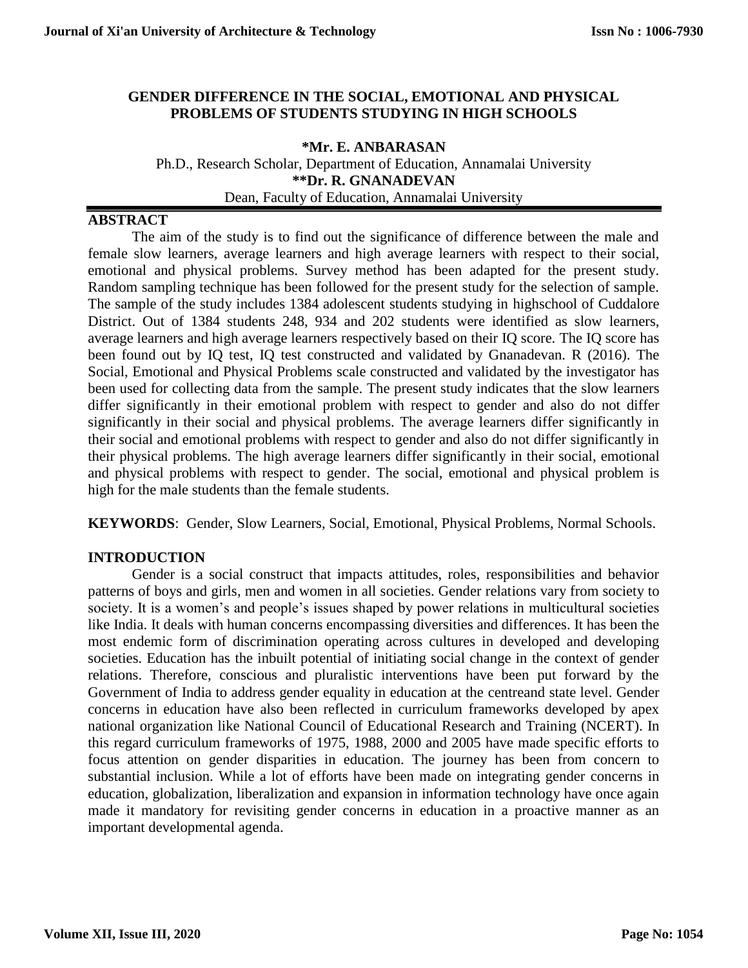## **GENDER DIFFERENCE IN THE SOCIAL, EMOTIONAL AND PHYSICAL PROBLEMS OF STUDENTS STUDYING IN HIGH SCHOOLS**

**\*Mr. E. ANBARASAN**  Ph.D., Research Scholar, Department of Education, Annamalai University **\*\*Dr. R. GNANADEVAN** Dean, Faculty of Education, Annamalai University

## **ABSTRACT**

The aim of the study is to find out the significance of difference between the male and female slow learners, average learners and high average learners with respect to their social, emotional and physical problems. Survey method has been adapted for the present study. Random sampling technique has been followed for the present study for the selection of sample. The sample of the study includes 1384 adolescent students studying in highschool of Cuddalore District. Out of 1384 students 248, 934 and 202 students were identified as slow learners, average learners and high average learners respectively based on their IQ score. The IQ score has been found out by IQ test, IQ test constructed and validated by Gnanadevan. R (2016). The Social, Emotional and Physical Problems scale constructed and validated by the investigator has been used for collecting data from the sample. The present study indicates that the slow learners differ significantly in their emotional problem with respect to gender and also do not differ significantly in their social and physical problems. The average learners differ significantly in their social and emotional problems with respect to gender and also do not differ significantly in their physical problems. The high average learners differ significantly in their social, emotional and physical problems with respect to gender. The social, emotional and physical problem is high for the male students than the female students.

**KEYWORDS**: Gender, Slow Learners, Social, Emotional, Physical Problems, Normal Schools.

## **INTRODUCTION**

Gender is a social construct that impacts attitudes, roles, responsibilities and behavior patterns of boys and girls, men and women in all societies. Gender relations vary from society to society. It is a women's and people's issues shaped by power relations in multicultural societies like India. It deals with human concerns encompassing diversities and differences. It has been the most endemic form of discrimination operating across cultures in developed and developing societies. Education has the inbuilt potential of initiating social change in the context of gender relations. Therefore, conscious and pluralistic interventions have been put forward by the Government of India to address gender equality in education at the centreand state level. Gender concerns in education have also been reflected in curriculum frameworks developed by apex national organization like National Council of Educational Research and Training (NCERT). In this regard curriculum frameworks of 1975, 1988, 2000 and 2005 have made specific efforts to focus attention on gender disparities in education. The journey has been from concern to substantial inclusion. While a lot of efforts have been made on integrating gender concerns in education, globalization, liberalization and expansion in information technology have once again made it mandatory for revisiting gender concerns in education in a proactive manner as an important developmental agenda.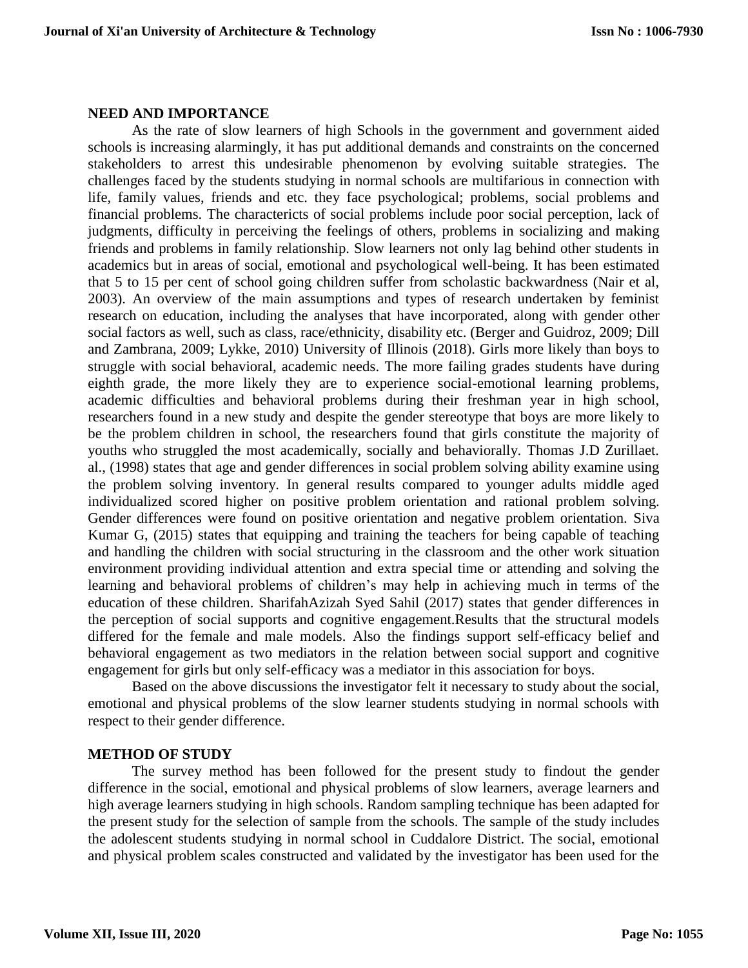#### **NEED AND IMPORTANCE**

As the rate of slow learners of high Schools in the government and government aided schools is increasing alarmingly, it has put additional demands and constraints on the concerned stakeholders to arrest this undesirable phenomenon by evolving suitable strategies. The challenges faced by the students studying in normal schools are multifarious in connection with life, family values, friends and etc. they face psychological; problems, social problems and financial problems. The charactericts of social problems include poor social perception, lack of judgments, difficulty in perceiving the feelings of others, problems in socializing and making friends and problems in family relationship. Slow learners not only lag behind other students in academics but in areas of social, emotional and psychological well-being. It has been estimated that 5 to 15 per cent of school going children suffer from scholastic backwardness (Nair et al, 2003). An overview of the main assumptions and types of research undertaken by feminist research on education, including the analyses that have incorporated, along with gender other social factors as well, such as class, race/ethnicity, disability etc. (Berger and Guidroz, 2009; Dill and Zambrana, 2009; Lykke, 2010) University of Illinois (2018). Girls more likely than boys to struggle with social behavioral, academic needs. The more failing grades students have during eighth grade, the more likely they are to experience social-emotional learning problems, academic difficulties and behavioral problems during their freshman year in high school, researchers found in a new study and despite the gender stereotype that boys are more likely to be the problem children in school, the researchers found that girls constitute the majority of youths who struggled the most academically, socially and behaviorally. Thomas J.D Zurillaet. al., (1998) states that age and gender differences in social problem solving ability examine using the problem solving inventory. In general results compared to younger adults middle aged individualized scored higher on positive problem orientation and rational problem solving. Gender differences were found on positive orientation and negative problem orientation. Siva Kumar G, (2015) states that equipping and training the teachers for being capable of teaching and handling the children with social structuring in the classroom and the other work situation environment providing individual attention and extra special time or attending and solving the learning and behavioral problems of children's may help in achieving much in terms of the education of these children. SharifahAzizah Syed Sahil (2017) states that gender differences in the perception of social supports and cognitive engagement.Results that the structural models differed for the female and male models. Also the findings support self-efficacy belief and behavioral engagement as two mediators in the relation between social support and cognitive engagement for girls but only self-efficacy was a mediator in this association for boys.

Based on the above discussions the investigator felt it necessary to study about the social, emotional and physical problems of the slow learner students studying in normal schools with respect to their gender difference.

## **METHOD OF STUDY**

The survey method has been followed for the present study to findout the gender difference in the social, emotional and physical problems of slow learners, average learners and high average learners studying in high schools. Random sampling technique has been adapted for the present study for the selection of sample from the schools. The sample of the study includes the adolescent students studying in normal school in Cuddalore District. The social, emotional and physical problem scales constructed and validated by the investigator has been used for the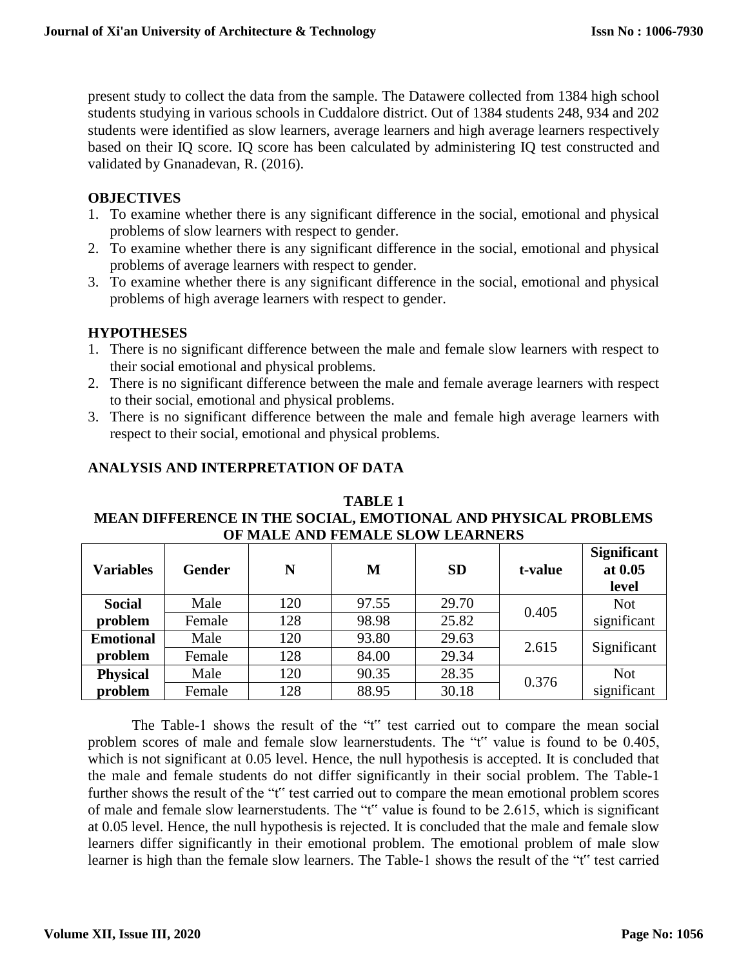present study to collect the data from the sample. The Datawere collected from 1384 high school students studying in various schools in Cuddalore district. Out of 1384 students 248, 934 and 202 students were identified as slow learners, average learners and high average learners respectively based on their IQ score. IQ score has been calculated by administering IQ test constructed and validated by Gnanadevan, R. (2016).

## **OBJECTIVES**

- 1. To examine whether there is any significant difference in the social, emotional and physical problems of slow learners with respect to gender.
- 2. To examine whether there is any significant difference in the social, emotional and physical problems of average learners with respect to gender.
- 3. To examine whether there is any significant difference in the social, emotional and physical problems of high average learners with respect to gender.

## **HYPOTHESES**

- 1. There is no significant difference between the male and female slow learners with respect to their social emotional and physical problems.
- 2. There is no significant difference between the male and female average learners with respect to their social, emotional and physical problems.
- 3. There is no significant difference between the male and female high average learners with respect to their social, emotional and physical problems.

# **ANALYSIS AND INTERPRETATION OF DATA**

**TABLE 1 MEAN DIFFERENCE IN THE SOCIAL, EMOTIONAL AND PHYSICAL PROBLEMS OF MALE AND FEMALE SLOW LEARNERS**

| <b>Variables</b> | <b>Gender</b> | N   | M     | <b>SD</b> | t-value | <b>Significant</b><br>at 0.05<br>level |
|------------------|---------------|-----|-------|-----------|---------|----------------------------------------|
| <b>Social</b>    | Male          | 120 | 97.55 | 29.70     | 0.405   | <b>Not</b>                             |
| problem          | Female        | 128 | 98.98 | 25.82     |         | significant                            |
| <b>Emotional</b> | Male          | 120 | 93.80 | 29.63     | 2.615   | Significant                            |
| problem          | Female        | 128 | 84.00 | 29.34     |         |                                        |
| <b>Physical</b>  | Male          | 120 | 90.35 | 28.35     | 0.376   | <b>Not</b>                             |
| problem          | Female        | 128 | 88.95 | 30.18     |         | significant                            |

The Table-1 shows the result of the "t" test carried out to compare the mean social problem scores of male and female slow learnerstudents. The "t" value is found to be 0.405, which is not significant at 0.05 level. Hence, the null hypothesis is accepted. It is concluded that the male and female students do not differ significantly in their social problem. The Table-1 further shows the result of the "t" test carried out to compare the mean emotional problem scores of male and female slow learnerstudents. The "t" value is found to be 2.615, which is significant at 0.05 level. Hence, the null hypothesis is rejected. It is concluded that the male and female slow learners differ significantly in their emotional problem. The emotional problem of male slow learner is high than the female slow learners. The Table-1 shows the result of the "t" test carried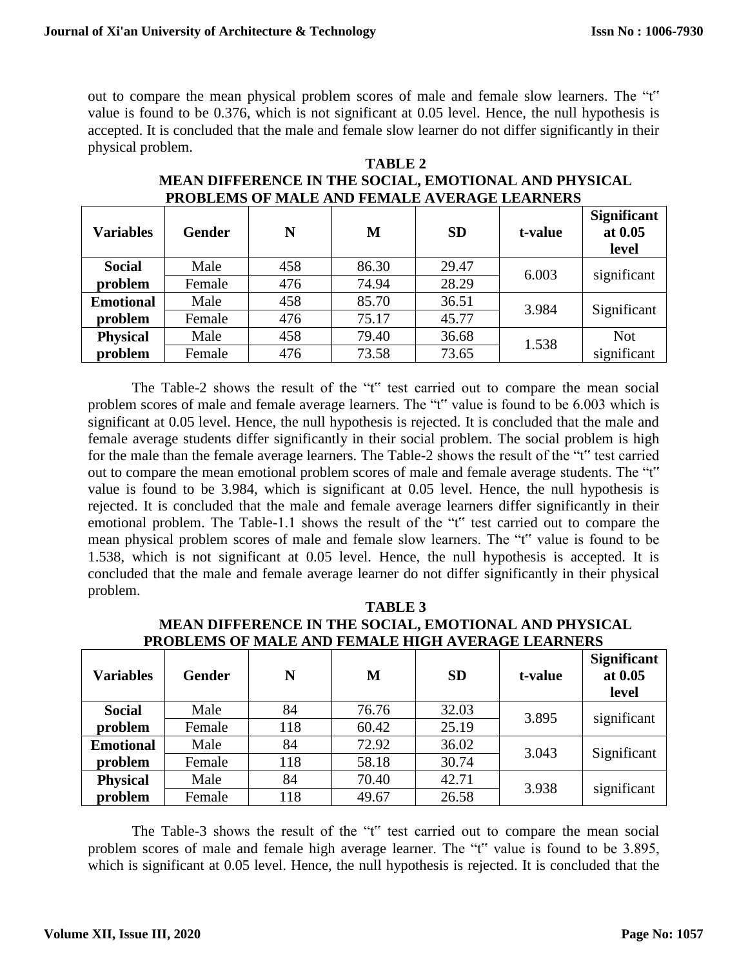out to compare the mean physical problem scores of male and female slow learners. The "t" value is found to be 0.376, which is not significant at 0.05 level. Hence, the null hypothesis is accepted. It is concluded that the male and female slow learner do not differ significantly in their physical problem.

| <b>Variables</b> | <b>Gender</b> | N   | М     | <b>SD</b> | t-value | <b>Significant</b><br>at 0.05<br>level |
|------------------|---------------|-----|-------|-----------|---------|----------------------------------------|
| <b>Social</b>    | Male          | 458 | 86.30 | 29.47     | 6.003   | significant                            |
| problem          | Female        | 476 | 74.94 | 28.29     |         |                                        |
| <b>Emotional</b> | Male          | 458 | 85.70 | 36.51     | 3.984   | Significant                            |
| problem          | Female        | 476 | 75.17 | 45.77     |         |                                        |
| <b>Physical</b>  | Male          | 458 | 79.40 | 36.68     | 1.538   | <b>Not</b>                             |
| problem          | Female        | 476 | 73.58 | 73.65     |         | significant                            |

## **TABLE 2 MEAN DIFFERENCE IN THE SOCIAL, EMOTIONAL AND PHYSICAL PROBLEMS OF MALE AND FEMALE AVERAGE LEARNERS**

The Table-2 shows the result of the "t" test carried out to compare the mean social problem scores of male and female average learners. The "t" value is found to be 6.003 which is significant at 0.05 level. Hence, the null hypothesis is rejected. It is concluded that the male and female average students differ significantly in their social problem. The social problem is high for the male than the female average learners. The Table-2 shows the result of the "t" test carried out to compare the mean emotional problem scores of male and female average students. The "t" value is found to be 3.984, which is significant at 0.05 level. Hence, the null hypothesis is rejected. It is concluded that the male and female average learners differ significantly in their emotional problem. The Table-1.1 shows the result of the "t" test carried out to compare the mean physical problem scores of male and female slow learners. The "t" value is found to be 1.538, which is not significant at 0.05 level. Hence, the null hypothesis is accepted. It is concluded that the male and female average learner do not differ significantly in their physical problem.

| <b>Variables</b> | <b>Gender</b> | N   | М     | <b>SD</b> | t-value | <b>Significant</b><br>at 0.05<br>level |
|------------------|---------------|-----|-------|-----------|---------|----------------------------------------|
| <b>Social</b>    | Male          | 84  | 76.76 | 32.03     | 3.895   | significant                            |
| problem          | Female        | 118 | 60.42 | 25.19     |         |                                        |
| <b>Emotional</b> | Male          | 84  | 72.92 | 36.02     | 3.043   | Significant                            |
| problem          | Female        | 118 | 58.18 | 30.74     |         |                                        |
| <b>Physical</b>  | Male          | 84  | 70.40 | 42.71     | 3.938   | significant                            |
| problem          | Female        | 118 | 49.67 | 26.58     |         |                                        |

**TABLE 3 MEAN DIFFERENCE IN THE SOCIAL, EMOTIONAL AND PHYSICAL PROBLEMS OF MALE AND FEMALE HIGH AVERAGE LEARNERS**

The Table-3 shows the result of the "t" test carried out to compare the mean social problem scores of male and female high average learner. The "t" value is found to be 3.895, which is significant at 0.05 level. Hence, the null hypothesis is rejected. It is concluded that the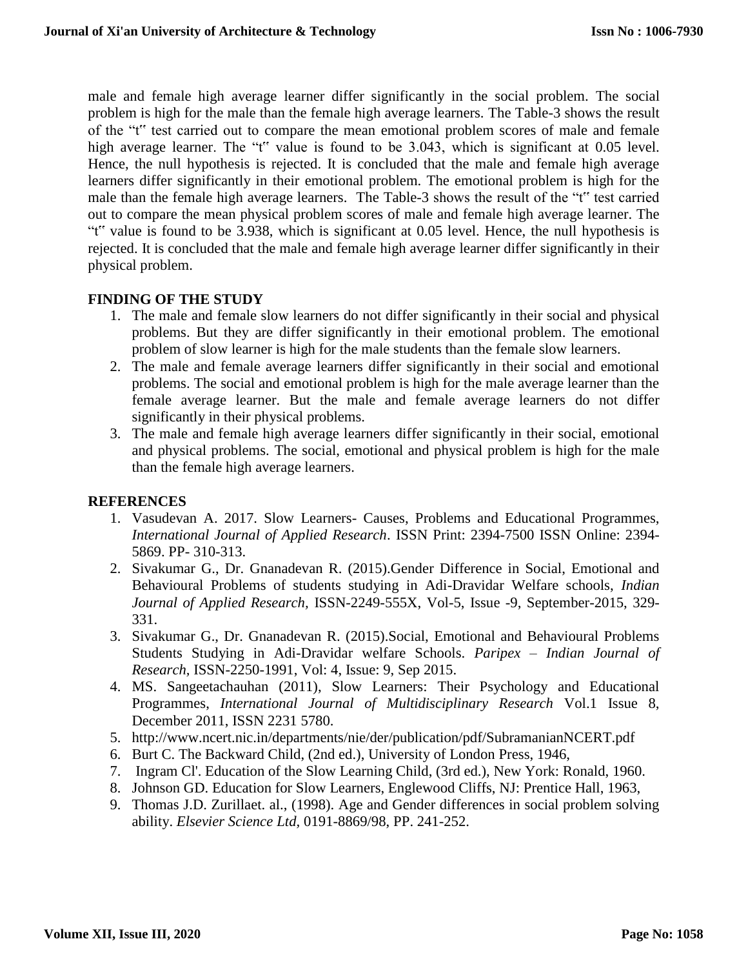male and female high average learner differ significantly in the social problem. The social problem is high for the male than the female high average learners. The Table-3 shows the result of the "t" test carried out to compare the mean emotional problem scores of male and female high average learner. The "t" value is found to be 3.043, which is significant at 0.05 level. Hence, the null hypothesis is rejected. It is concluded that the male and female high average learners differ significantly in their emotional problem. The emotional problem is high for the male than the female high average learners. The Table-3 shows the result of the "t" test carried out to compare the mean physical problem scores of male and female high average learner. The "t" value is found to be 3.938, which is significant at 0.05 level. Hence, the null hypothesis is rejected. It is concluded that the male and female high average learner differ significantly in their physical problem.

## **FINDING OF THE STUDY**

- 1. The male and female slow learners do not differ significantly in their social and physical problems. But they are differ significantly in their emotional problem. The emotional problem of slow learner is high for the male students than the female slow learners.
- 2. The male and female average learners differ significantly in their social and emotional problems. The social and emotional problem is high for the male average learner than the female average learner. But the male and female average learners do not differ significantly in their physical problems.
- 3. The male and female high average learners differ significantly in their social, emotional and physical problems. The social, emotional and physical problem is high for the male than the female high average learners.

## **REFERENCES**

- 1. Vasudevan A. 2017. Slow Learners- Causes, Problems and Educational Programmes, *International Journal of Applied Research*. ISSN Print: 2394-7500 ISSN Online: 2394- 5869. PP- 310-313.
- 2. Sivakumar G., Dr. Gnanadevan R. (2015).Gender Difference in Social, Emotional and Behavioural Problems of students studying in Adi-Dravidar Welfare schools, *Indian Journal of Applied Research,* ISSN-2249-555X, Vol-5, Issue -9, September-2015, 329- 331.
- 3. Sivakumar G., Dr. Gnanadevan R. (2015).Social, Emotional and Behavioural Problems Students Studying in Adi-Dravidar welfare Schools. *Paripex – Indian Journal of Research,* ISSN-2250-1991, Vol: 4, Issue: 9, Sep 2015.
- 4. MS. Sangeetachauhan (2011), Slow Learners: Their Psychology and Educational Programmes, *International Journal of Multidisciplinary Research* Vol.1 Issue 8, December 2011, ISSN 2231 5780.
- 5. <http://www.ncert.nic.in/departments/nie/der/publication/pdf/SubramanianNCERT.pdf>
- 6. Burt C. The Backward Child, (2nd ed.), University of London Press, 1946,
- 7. Ingram Cl'. Education of the Slow Learning Child, (3rd ed.), New York: Ronald, 1960.
- 8. Johnson GD. Education for Slow Learners, Englewood Cliffs, NJ: Prentice Hall, 1963,
- 9. Thomas J.D. Zurillaet. al., (1998). Age and Gender differences in social problem solving ability. *Elsevier Science Ltd,* 0191-8869/98, PP. 241-252.